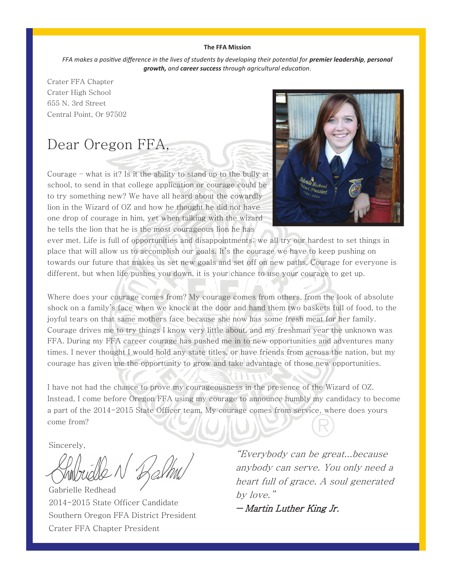#### **The FFA Mission**

*FFA makes a positive difference in the lives of students by developing their potential for premier leadership, personal growth, and career success through agricultural education*.

Crater FFA Chapter Crater High School 655 N. 3rd Street Central Point, Or 97502

# Dear Oregon FFA,

Courage – what is it? Is it the ability to stand up to the bully at school, to send in that college application or courage could be to try something new? We have all heard about the cowardly lion in the Wizard of OZ and how he thought he did not have one drop of courage in him, yet when talking with the wizard he tells the lion that he is the most courageous lion he has



ever met. Life is full of opportunities and disappointments; we all try our hardest to set things in place that will allow us to accomplish our goals. It's the courage we have to keep pushing on towards our future that makes us set new goals and set off on new paths. Courage for everyone is different, but when life pushes you down, it is your chance to use your courage to get up.

Where does your courage comes from? My courage comes from others, from the look of absolute shock on a family's face when we knock at the door and hand them two baskets full of food, to the joyful tears on that same mothers face because she now has some fresh meat for her family. Courage drives me to try things I know very little about, and my freshman year the unknown was FFA. During my FFA career courage has pushed me in to new opportunities and adventures many times. I never thought I would hold any state titles, or have friends from across the nation, but my courage has given me the opportunity to grow and take advantage of those new opportunities.

I have not had the chance to prove my courageousness in the presence of the Wizard of OZ. Instead, I come before Oregon FFA using my courage to announce humbly my candidacy to become a part of the 2014-2015 State Officer team. My courage comes from service, where does yours come from?

Sincerely,

Gabrielle Redhead 2014-2015 State Officer Candidate Southern Oregon FFA District President Crater FFA Chapter President

"Everybody can be great...because anybody can serve. You only need a heart full of grace. A soul generated by love."

― Martin Luther King Jr.